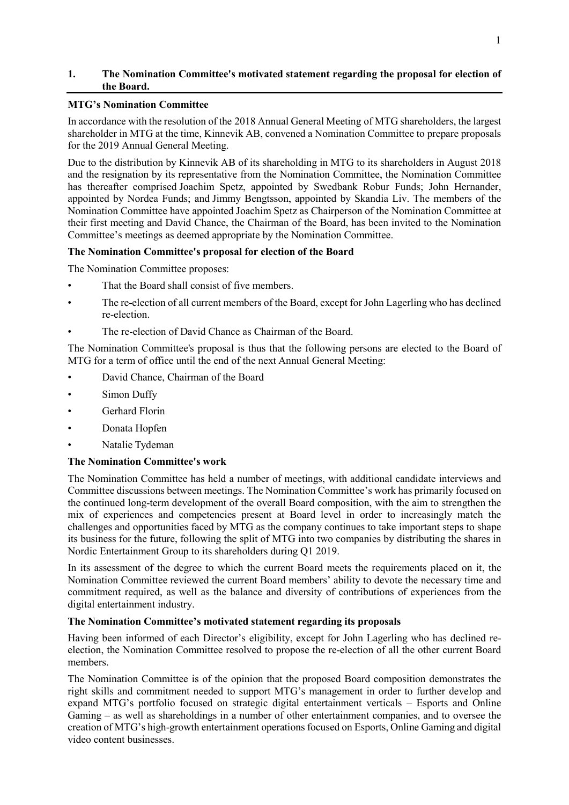## **1. The Nomination Committee's motivated statement regarding the proposal for election of the Board.**

### **MTG's Nomination Committee**

In accordance with the resolution of the 2018 Annual General Meeting of MTG shareholders, the largest shareholder in MTG at the time, Kinnevik AB, convened a Nomination Committee to prepare proposals for the 2019 Annual General Meeting.

Due to the distribution by Kinnevik AB of its shareholding in MTG to its shareholders in August 2018 and the resignation by its representative from the Nomination Committee, the Nomination Committee has thereafter comprised Joachim Spetz, appointed by Swedbank Robur Funds; John Hernander, appointed by Nordea Funds; and Jimmy Bengtsson, appointed by Skandia Liv. The members of the Nomination Committee have appointed Joachim Spetz as Chairperson of the Nomination Committee at their first meeting and David Chance, the Chairman of the Board, has been invited to the Nomination Committee's meetings as deemed appropriate by the Nomination Committee.

# **The Nomination Committee's proposal for election of the Board**

The Nomination Committee proposes:

- That the Board shall consist of five members.
- The re-election of all current members of the Board, except for John Lagerling who has declined re-election.
- The re-election of David Chance as Chairman of the Board.

The Nomination Committee's proposal is thus that the following persons are elected to the Board of MTG for a term of office until the end of the next Annual General Meeting:

- David Chance, Chairman of the Board
- Simon Duffy
- Gerhard Florin
- Donata Hopfen
- Natalie Tydeman

#### **The Nomination Committee's work**

The Nomination Committee has held a number of meetings, with additional candidate interviews and Committee discussions between meetings. The Nomination Committee's work has primarily focused on the continued long-term development of the overall Board composition, with the aim to strengthen the mix of experiences and competencies present at Board level in order to increasingly match the challenges and opportunities faced by MTG as the company continues to take important steps to shape its business for the future, following the split of MTG into two companies by distributing the shares in Nordic Entertainment Group to its shareholders during Q1 2019.

In its assessment of the degree to which the current Board meets the requirements placed on it, the Nomination Committee reviewed the current Board members' ability to devote the necessary time and commitment required, as well as the balance and diversity of contributions of experiences from the digital entertainment industry.

#### **The Nomination Committee's motivated statement regarding its proposals**

Having been informed of each Director's eligibility, except for John Lagerling who has declined reelection, the Nomination Committee resolved to propose the re-election of all the other current Board members.

The Nomination Committee is of the opinion that the proposed Board composition demonstrates the right skills and commitment needed to support MTG's management in order to further develop and expand MTG's portfolio focused on strategic digital entertainment verticals – Esports and Online Gaming – as well as shareholdings in a number of other entertainment companies, and to oversee the creation of MTG's high-growth entertainment operations focused on Esports, Online Gaming and digital video content businesses.